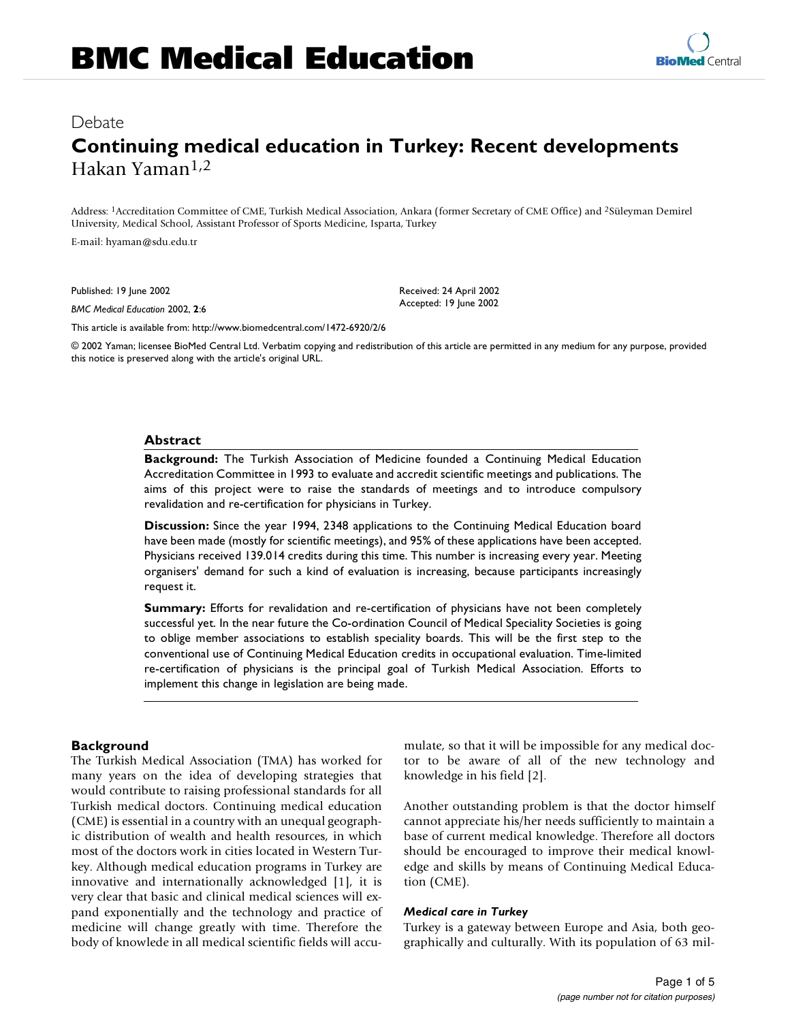# Bedate Education 2002, 2 x Debate **Continuing medical education in Turkey: Recent developments** Hakan Yaman1,2

Address: 1Accreditation Committee of CME, Turkish Medical Association, Ankara (former Secretary of CME Office) and 2Süleyman Demirel University, Medical School, Assistant Professor of Sports Medicine, Isparta, Turkey

E-mail: hyaman@sdu.edu.tr

Published: 19 June 2002

*BMC Medical Education* 2002, **2**:6

Received: 24 April 2002 Accepted: 19 June 2002

[This article is available from: http://www.biomedcentral.com/1472-6920/2/6](http://www.biomedcentral.com/1472-6920/2/6)

© 2002 Yaman; licensee BioMed Central Ltd. Verbatim copying and redistribution of this article are permitted in any medium for any purpose, provided this notice is preserved along with the article's original URL.

#### **Abstract**

**Background:** The Turkish Association of Medicine founded a Continuing Medical Education Accreditation Committee in 1993 to evaluate and accredit scientific meetings and publications. The aims of this project were to raise the standards of meetings and to introduce compulsory revalidation and re-certification for physicians in Turkey.

**Discussion:** Since the year 1994, 2348 applications to the Continuing Medical Education board have been made (mostly for scientific meetings), and 95% of these applications have been accepted. Physicians received 139.014 credits during this time. This number is increasing every year. Meeting organisers' demand for such a kind of evaluation is increasing, because participants increasingly request it.

**Summary:** Efforts for revalidation and re-certification of physicians have not been completely successful yet. In the near future the Co-ordination Council of Medical Speciality Societies is going to oblige member associations to establish speciality boards. This will be the first step to the conventional use of Continuing Medical Education credits in occupational evaluation. Time-limited re-certification of physicians is the principal goal of Turkish Medical Association. Efforts to implement this change in legislation are being made.

#### **Background**

The Turkish Medical Association (TMA) has worked for many years on the idea of developing strategies that would contribute to raising professional standards for all Turkish medical doctors. Continuing medical education (CME) is essential in a country with an unequal geographic distribution of wealth and health resources, in which most of the doctors work in cities located in Western Turkey. Although medical education programs in Turkey are innovative and internationally acknowledged [1], it is very clear that basic and clinical medical sciences will expand exponentially and the technology and practice of medicine will change greatly with time. Therefore the body of knowlede in all medical scientific fields will accumulate, so that it will be impossible for any medical doctor to be aware of all of the new technology and knowledge in his field [2].

Another outstanding problem is that the doctor himself cannot appreciate his/her needs sufficiently to maintain a base of current medical knowledge. Therefore all doctors should be encouraged to improve their medical knowledge and skills by means of Continuing Medical Education (CME).

#### *Medical care in Turkey*

Turkey is a gateway between Europe and Asia, both geographically and culturally. With its population of 63 mil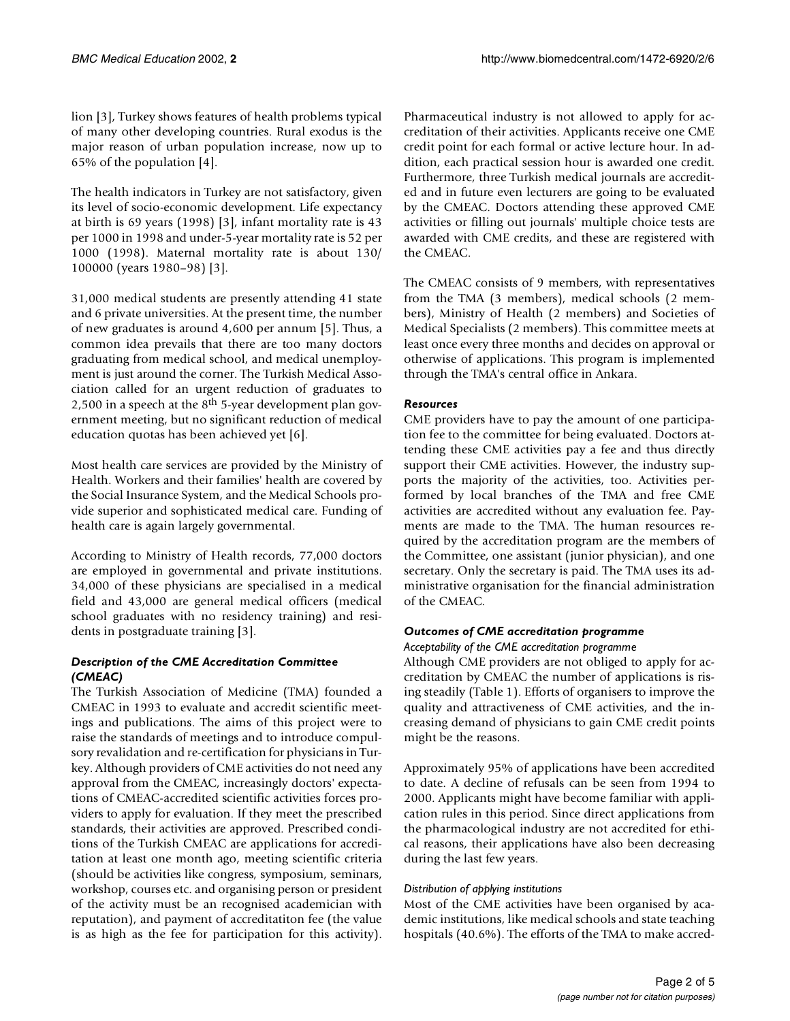lion [3], Turkey shows features of health problems typical of many other developing countries. Rural exodus is the major reason of urban population increase, now up to 65% of the population [4].

The health indicators in Turkey are not satisfactory, given its level of socio-economic development. Life expectancy at birth is 69 years (1998) [3], infant mortality rate is 43 per 1000 in 1998 and under-5-year mortality rate is 52 per 1000 (1998). Maternal mortality rate is about 130/ 100000 (years 1980–98) [3].

31,000 medical students are presently attending 41 state and 6 private universities. At the present time, the number of new graduates is around 4,600 per annum [5]. Thus, a common idea prevails that there are too many doctors graduating from medical school, and medical unemployment is just around the corner. The Turkish Medical Association called for an urgent reduction of graduates to 2,500 in a speech at the 8th 5-year development plan government meeting, but no significant reduction of medical education quotas has been achieved yet [6].

Most health care services are provided by the Ministry of Health. Workers and their families' health are covered by the Social Insurance System, and the Medical Schools provide superior and sophisticated medical care. Funding of health care is again largely governmental.

According to Ministry of Health records, 77,000 doctors are employed in governmental and private institutions. 34,000 of these physicians are specialised in a medical field and 43,000 are general medical officers (medical school graduates with no residency training) and residents in postgraduate training [3].

## *Description of the CME Accreditation Committee (CMEAC)*

The Turkish Association of Medicine (TMA) founded a CMEAC in 1993 to evaluate and accredit scientific meetings and publications. The aims of this project were to raise the standards of meetings and to introduce compulsory revalidation and re-certification for physicians in Turkey. Although providers of CME activities do not need any approval from the CMEAC, increasingly doctors' expectations of CMEAC-accredited scientific activities forces providers to apply for evaluation. If they meet the prescribed standards, their activities are approved. Prescribed conditions of the Turkish CMEAC are applications for accreditation at least one month ago, meeting scientific criteria (should be activities like congress, symposium, seminars, workshop, courses etc. and organising person or president of the activity must be an recognised academician with reputation), and payment of accreditatiton fee (the value is as high as the fee for participation for this activity).

Pharmaceutical industry is not allowed to apply for accreditation of their activities. Applicants receive one CME credit point for each formal or active lecture hour. In addition, each practical session hour is awarded one credit. Furthermore, three Turkish medical journals are accredited and in future even lecturers are going to be evaluated by the CMEAC. Doctors attending these approved CME activities or filling out journals' multiple choice tests are awarded with CME credits, and these are registered with the CMEAC.

The CMEAC consists of 9 members, with representatives from the TMA (3 members), medical schools (2 members), Ministry of Health (2 members) and Societies of Medical Specialists (2 members). This committee meets at least once every three months and decides on approval or otherwise of applications. This program is implemented through the TMA's central office in Ankara.

## *Resources*

CME providers have to pay the amount of one participation fee to the committee for being evaluated. Doctors attending these CME activities pay a fee and thus directly support their CME activities. However, the industry supports the majority of the activities, too. Activities performed by local branches of the TMA and free CME activities are accredited without any evaluation fee. Payments are made to the TMA. The human resources required by the accreditation program are the members of the Committee, one assistant (junior physician), and one secretary. Only the secretary is paid. The TMA uses its administrative organisation for the financial administration of the CMEAC.

## *Outcomes of CME accreditation programme*

## *Acceptability of the CME accreditation programme*

Although CME providers are not obliged to apply for accreditation by CMEAC the number of applications is rising steadily (Table 1). Efforts of organisers to improve the quality and attractiveness of CME activities, and the increasing demand of physicians to gain CME credit points might be the reasons.

Approximately 95% of applications have been accredited to date. A decline of refusals can be seen from 1994 to 2000. Applicants might have become familiar with application rules in this period. Since direct applications from the pharmacological industry are not accredited for ethical reasons, their applications have also been decreasing during the last few years.

## *Distribution of applying institutions*

Most of the CME activities have been organised by academic institutions, like medical schools and state teaching hospitals (40.6%). The efforts of the TMA to make accred-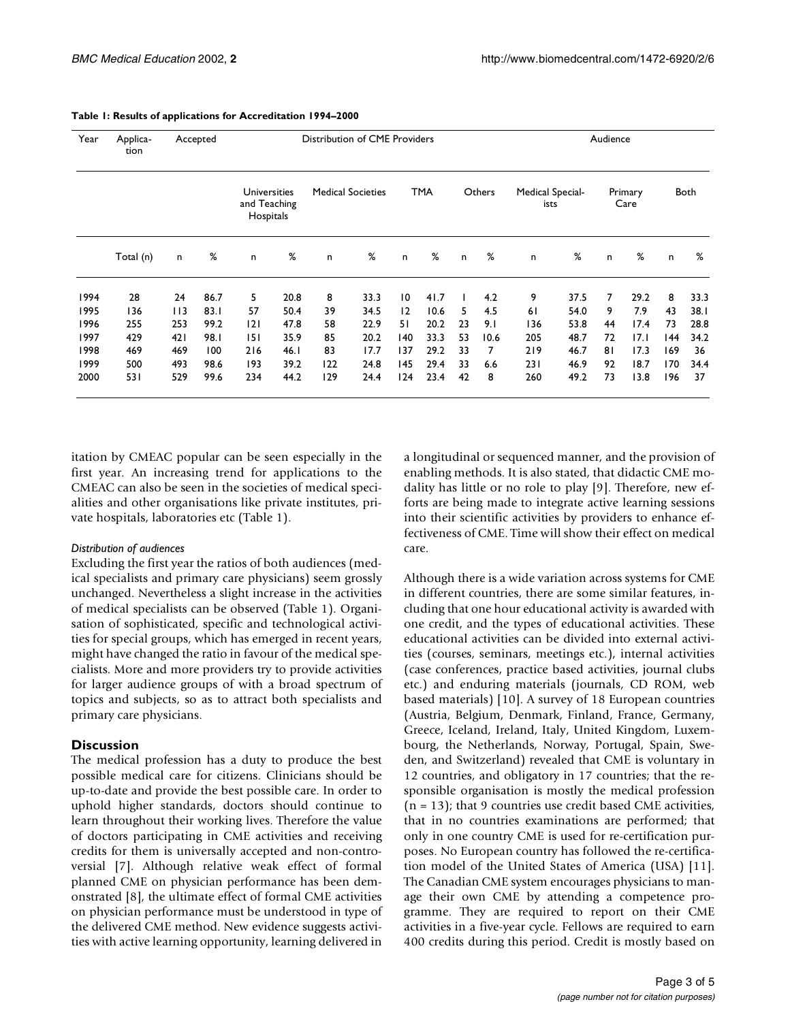| Year | Applica-<br>tion | Accepted |      | Distribution of CME Providers                    |      |                          |      |                |      |        |      | Audience                 |      |                 |      |      |      |
|------|------------------|----------|------|--------------------------------------------------|------|--------------------------|------|----------------|------|--------|------|--------------------------|------|-----------------|------|------|------|
|      |                  | n        | %    | <b>Universities</b><br>and Teaching<br>Hospitals |      | <b>Medical Societies</b> |      | <b>TMA</b>     |      | Others |      | Medical Special-<br>ists |      | Primary<br>Care |      | Both |      |
|      | Total (n)        |          |      | n                                                | %    | n                        | %    | n.             | %    | n      | %    | n                        | %    | n               | %    | n    | %    |
| 1994 | 28               | 24       | 86.7 | 5.                                               | 20.8 | 8                        | 33.3 | $\overline{0}$ | 41.7 |        | 4.2  | 9                        | 37.5 | 7               | 29.2 | 8    | 33.3 |
| 1995 | 136              | 113      | 83.1 | 57                                               | 50.4 | 39                       | 34.5 | 12             | 10.6 | 5.     | 4.5  | 61                       | 54.0 | 9               | 7.9  | 43   | 38.1 |
| 1996 | 255              | 253      | 99.2 | 2                                                | 47.8 | 58                       | 22.9 | 51             | 20.2 | 23     | 9.1  | 136                      | 53.8 | 44              | 17.4 | 73   | 28.8 |
| 1997 | 429              | 421      | 98.I | 151                                              | 35.9 | 85                       | 20.2 | 140            | 33.3 | 53     | 10.6 | 205                      | 48.7 | 72              | 17.1 | 144  | 34.2 |
| 1998 | 469              | 469      | 100  | 216                                              | 46.1 | 83                       | 17.7 | 137            | 29.2 | 33     | 7    | 219                      | 46.7 | 81              | 17.3 | 169  | 36   |
| 1999 | 500              | 493      | 98.6 | 193                                              | 39.2 | 122                      | 24.8 | 145            | 29.4 | 33     | 6.6  | 231                      | 46.9 | 92              | 18.7 | 170  | 34.4 |
| 2000 | 53 I             | 529      | 99.6 | 234                                              | 44.2 | 129                      | 24.4 | 124            | 23.4 | 42     | 8    | 260                      | 49.2 | 73              | 13.8 | 196  | 37   |

#### **Table 1: Results of applications for Accreditation 1994–2000**

itation by CMEAC popular can be seen especially in the first year. An increasing trend for applications to the CMEAC can also be seen in the societies of medical specialities and other organisations like private institutes, private hospitals, laboratories etc (Table 1).

#### *Distribution of audiences*

Excluding the first year the ratios of both audiences (medical specialists and primary care physicians) seem grossly unchanged. Nevertheless a slight increase in the activities of medical specialists can be observed (Table 1). Organisation of sophisticated, specific and technological activities for special groups, which has emerged in recent years, might have changed the ratio in favour of the medical specialists. More and more providers try to provide activities for larger audience groups of with a broad spectrum of topics and subjects, so as to attract both specialists and primary care physicians.

#### **Discussion**

The medical profession has a duty to produce the best possible medical care for citizens. Clinicians should be up-to-date and provide the best possible care. In order to uphold higher standards, doctors should continue to learn throughout their working lives. Therefore the value of doctors participating in CME activities and receiving credits for them is universally accepted and non-controversial [7]. Although relative weak effect of formal planned CME on physician performance has been demonstrated [8], the ultimate effect of formal CME activities on physician performance must be understood in type of the delivered CME method. New evidence suggests activities with active learning opportunity, learning delivered in

a longitudinal or sequenced manner, and the provision of enabling methods. It is also stated, that didactic CME modality has little or no role to play [9]. Therefore, new efforts are being made to integrate active learning sessions into their scientific activities by providers to enhance effectiveness of CME. Time will show their effect on medical care.

Although there is a wide variation across systems for CME in different countries, there are some similar features, including that one hour educational activity is awarded with one credit, and the types of educational activities. These educational activities can be divided into external activities (courses, seminars, meetings etc.), internal activities (case conferences, practice based activities, journal clubs etc.) and enduring materials (journals, CD ROM, web based materials) [10]. A survey of 18 European countries (Austria, Belgium, Denmark, Finland, France, Germany, Greece, Iceland, Ireland, Italy, United Kingdom, Luxembourg, the Netherlands, Norway, Portugal, Spain, Sweden, and Switzerland) revealed that CME is voluntary in 12 countries, and obligatory in 17 countries; that the responsible organisation is mostly the medical profession  $(n = 13)$ ; that 9 countries use credit based CME activities, that in no countries examinations are performed; that only in one country CME is used for re-certification purposes. No European country has followed the re-certification model of the United States of America (USA) [11]. The Canadian CME system encourages physicians to manage their own CME by attending a competence programme. They are required to report on their CME activities in a five-year cycle. Fellows are required to earn 400 credits during this period. Credit is mostly based on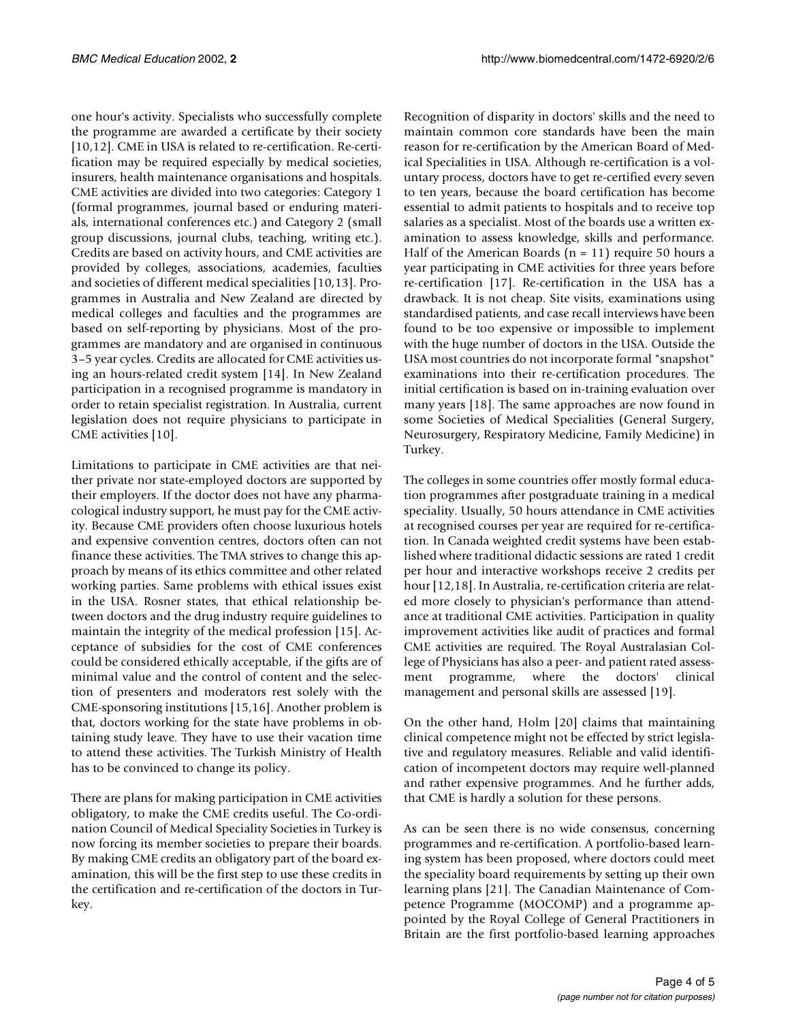one hour's activity. Specialists who successfully complete the programme are awarded a certificate by their society [10,12]. CME in USA is related to re-certification. Re-certification may be required especially by medical societies, insurers, health maintenance organisations and hospitals. CME activities are divided into two categories: Category 1 (formal programmes, journal based or enduring materials, international conferences etc.) and Category 2 (small group discussions, journal clubs, teaching, writing etc.). Credits are based on activity hours, and CME activities are provided by colleges, associations, academies, faculties and societies of different medical specialities [10,13]. Programmes in Australia and New Zealand are directed by medical colleges and faculties and the programmes are based on self-reporting by physicians. Most of the programmes are mandatory and are organised in continuous 3–5 year cycles. Credits are allocated for CME activities using an hours-related credit system [14]. In New Zealand participation in a recognised programme is mandatory in order to retain specialist registration. In Australia, current legislation does not require physicians to participate in CME activities [10].

Limitations to participate in CME activities are that neither private nor state-employed doctors are supported by their employers. If the doctor does not have any pharmacological industry support, he must pay for the CME activity. Because CME providers often choose luxurious hotels and expensive convention centres, doctors often can not finance these activities. The TMA strives to change this approach by means of its ethics committee and other related working parties. Same problems with ethical issues exist in the USA. Rosner states, that ethical relationship between doctors and the drug industry require guidelines to maintain the integrity of the medical profession [15]. Acceptance of subsidies for the cost of CME conferences could be considered ethically acceptable, if the gifts are of minimal value and the control of content and the selection of presenters and moderators rest solely with the CME-sponsoring institutions [15,16]. Another problem is that, doctors working for the state have problems in obtaining study leave. They have to use their vacation time to attend these activities. The Turkish Ministry of Health has to be convinced to change its policy.

There are plans for making participation in CME activities obligatory, to make the CME credits useful. The Co-ordination Council of Medical Speciality Societies in Turkey is now forcing its member societies to prepare their boards. By making CME credits an obligatory part of the board examination, this will be the first step to use these credits in the certification and re-certification of the doctors in Turkey.

Recognition of disparity in doctors' skills and the need to maintain common core standards have been the main reason for re-certification by the American Board of Medical Specialities in USA. Although re-certification is a voluntary process, doctors have to get re-certified every seven to ten years, because the board certification has become essential to admit patients to hospitals and to receive top salaries as a specialist. Most of the boards use a written examination to assess knowledge, skills and performance. Half of the American Boards ( $n = 11$ ) require 50 hours a year participating in CME activities for three years before re-certification [17]. Re-certification in the USA has a drawback. It is not cheap. Site visits, examinations using standardised patients, and case recall interviews have been found to be too expensive or impossible to implement with the huge number of doctors in the USA. Outside the USA most countries do not incorporate formal "snapshot" examinations into their re-certification procedures. The initial certification is based on in-training evaluation over many years [18]. The same approaches are now found in some Societies of Medical Specialities (General Surgery, Neurosurgery, Respiratory Medicine, Family Medicine) in Turkey.

The colleges in some countries offer mostly formal education programmes after postgraduate training in a medical speciality. Usually, 50 hours attendance in CME activities at recognised courses per year are required for re-certification. In Canada weighted credit systems have been established where traditional didactic sessions are rated 1 credit per hour and interactive workshops receive 2 credits per hour [12,18]. In Australia, re-certification criteria are related more closely to physician's performance than attendance at traditional CME activities. Participation in quality improvement activities like audit of practices and formal CME activities are required. The Royal Australasian College of Physicians has also a peer- and patient rated assessment programme, where the doctors' clinical management and personal skills are assessed [19].

On the other hand, Holm [20] claims that maintaining clinical competence might not be effected by strict legislative and regulatory measures. Reliable and valid identification of incompetent doctors may require well-planned and rather expensive programmes. And he further adds, that CME is hardly a solution for these persons.

As can be seen there is no wide consensus, concerning programmes and re-certification. A portfolio-based learning system has been proposed, where doctors could meet the speciality board requirements by setting up their own learning plans [21]. The Canadian Maintenance of Competence Programme (MOCOMP) and a programme appointed by the Royal College of General Practitioners in Britain are the first portfolio-based learning approaches